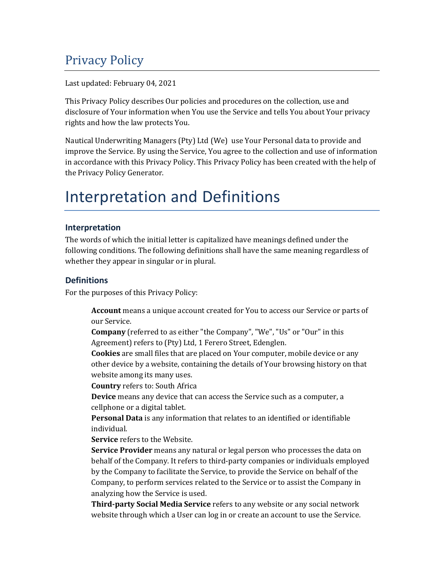## Privacy Policy

Last updated: February 04, 2021

This Privacy Policy describes Our policies and procedures on the collection, use and disclosure of Your information when You use the Service and tells You about Your privacy rights and how the law protects You.

Nautical Underwriting Managers (Pty) Ltd (We) use Your Personal data to provide and improve the Service. By using the Service, You agree to the collection and use of information in accordance with this Privacy Policy. This Privacy Policy has been created with the help of th[e Privacy Policy Generator.](https://www.termsfeed.com/privacy-policy-generator/)

## Interpretation and Definitions

## **Interpretation**

The words of which the initial letter is capitalized have meanings defined under the following conditions. The following definitions shall have the same meaning regardless of whether they appear in singular or in plural.

## **Definitions**

For the purposes of this Privacy Policy:

**Account** means a unique account created for You to access our Service or parts of our Service.

**Company** (referred to as either "the Company", "We", "Us" or "Our" in this Agreement) refers to (Pty) Ltd, 1 Ferero Street, Edenglen.

**Cookies** are small files that are placed on Your computer, mobile device or any other device by a website, containing the details of Your browsing history on that website among its many uses.

**Country** refers to: South Africa

**Device** means any device that can access the Service such as a computer, a cellphone or a digital tablet.

**Personal Data** is any information that relates to an identified or identifiable individual.

**Service** refers to the Website.

**Service Provider** means any natural or legal person who processes the data on behalf of the Company. It refers to third-party companies or individuals employed by the Company to facilitate the Service, to provide the Service on behalf of the Company, to perform services related to the Service or to assist the Company in analyzing how the Service is used.

**Third-party Social Media Service** refers to any website or any social network website through which a User can log in or create an account to use the Service.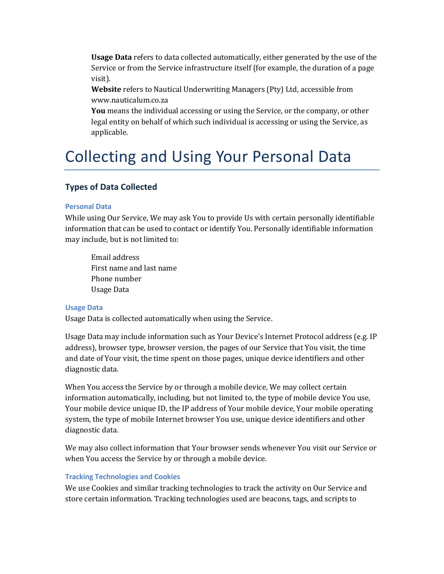**Usage Data** refers to data collected automatically, either generated by the use of the Service or from the Service infrastructure itself (for example, the duration of a page visit).

**Website** refers to Nautical Underwriting Managers (Pty) Ltd, accessible from <www.nauticalum.co.za>

**You** means the individual accessing or using the Service, or the company, or other legal entity on behalf of which such individual is accessing or using the Service, as applicable.

## Collecting and Using Your Personal Data

## **Types of Data Collected**

#### **Personal Data**

While using Our Service, We may ask You to provide Us with certain personally identifiable information that can be used to contact or identify You. Personally identifiable information may include, but is not limited to:

Email address First name and last name Phone number Usage Data

#### **Usage Data**

Usage Data is collected automatically when using the Service.

Usage Data may include information such as Your Device's Internet Protocol address (e.g. IP address), browser type, browser version, the pages of our Service that You visit, the time and date of Your visit, the time spent on those pages, unique device identifiers and other diagnostic data.

When You access the Service by or through a mobile device, We may collect certain information automatically, including, but not limited to, the type of mobile device You use, Your mobile device unique ID, the IP address of Your mobile device, Your mobile operating system, the type of mobile Internet browser You use, unique device identifiers and other diagnostic data.

We may also collect information that Your browser sends whenever You visit our Service or when You access the Service by or through a mobile device.

#### **Tracking Technologies and Cookies**

We use Cookies and similar tracking technologies to track the activity on Our Service and store certain information. Tracking technologies used are beacons, tags, and scripts to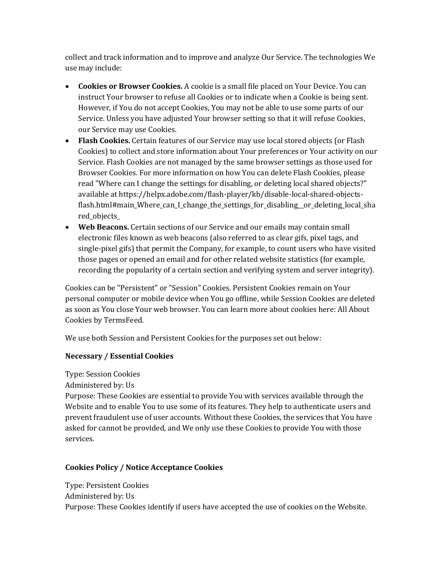collect and track information and to improve and analyze Our Service. The technologies We use may include:

- **Cookies or Browser Cookies.** A cookie is a small file placed on Your Device. You can instruct Your browser to refuse all Cookies or to indicate when a Cookie is being sent. However, if You do not accept Cookies, You may not be able to use some parts of our Service. Unless you have adjusted Your browser setting so that it will refuse Cookies, our Service may use Cookies.
- **Flash Cookies.** Certain features of our Service may use local stored objects (or Flash Cookies) to collect and store information about Your preferences or Your activity on our Service. Flash Cookies are not managed by the same browser settings as those used for Browser Cookies. For more information on how You can delete Flash Cookies, please read "Where can I change the settings for disabling, or deleting local shared objects?" available at [https://helpx.adobe.com/flash-player/kb/disable-local-shared-objects](https://helpx.adobe.com/flash-player/kb/disable-local-shared-objects-flash.html#main_Where_can_I_change_the_settings_for_disabling__or_deleting_local_shared_objects_)[flash.html#main\\_Where\\_can\\_I\\_change\\_the\\_settings\\_for\\_disabling\\_\\_or\\_deleting\\_local\\_sha](https://helpx.adobe.com/flash-player/kb/disable-local-shared-objects-flash.html#main_Where_can_I_change_the_settings_for_disabling__or_deleting_local_shared_objects_) [red\\_objects\\_](https://helpx.adobe.com/flash-player/kb/disable-local-shared-objects-flash.html#main_Where_can_I_change_the_settings_for_disabling__or_deleting_local_shared_objects_)
- **Web Beacons.** Certain sections of our Service and our emails may contain small electronic files known as web beacons (also referred to as clear gifs, pixel tags, and single-pixel gifs) that permit the Company, for example, to count users who have visited those pages or opened an email and for other related website statistics (for example, recording the popularity of a certain section and verifying system and server integrity).

Cookies can be "Persistent" or "Session" Cookies. Persistent Cookies remain on Your personal computer or mobile device when You go offline, while Session Cookies are deleted as soon as You close Your web browser. You can learn more about cookies here: [All About](https://www.termsfeed.com/blog/cookies/)  [Cookies by TermsFeed.](https://www.termsfeed.com/blog/cookies/)

We use both Session and Persistent Cookies for the purposes set out below:

### **Necessary / Essential Cookies**

Type: Session Cookies

Administered by: Us

Purpose: These Cookies are essential to provide You with services available through the Website and to enable You to use some of its features. They help to authenticate users and prevent fraudulent use of user accounts. Without these Cookies, the services that You have asked for cannot be provided, and We only use these Cookies to provide You with those services.

#### **Cookies Policy / Notice Acceptance Cookies**

Type: Persistent Cookies Administered by: Us Purpose: These Cookies identify if users have accepted the use of cookies on the Website.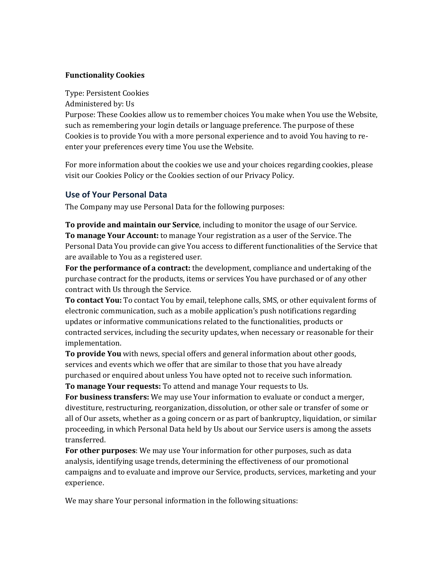#### **Functionality Cookies**

Type: Persistent Cookies Administered by: Us Purpose: These Cookies allow us to remember choices You make when You use the Website, such as remembering your login details or language preference. The purpose of these Cookies is to provide You with a more personal experience and to avoid You having to reenter your preferences every time You use the Website.

For more information about the cookies we use and your choices regarding cookies, please visit our Cookies Policy or the Cookies section of our Privacy Policy.

### **Use of Your Personal Data**

The Company may use Personal Data for the following purposes:

**To provide and maintain our Service**, including to monitor the usage of our Service. **To manage Your Account:** to manage Your registration as a user of the Service. The Personal Data You provide can give You access to different functionalities of the Service that are available to You as a registered user.

**For the performance of a contract:** the development, compliance and undertaking of the purchase contract for the products, items or services You have purchased or of any other contract with Us through the Service.

**To contact You:** To contact You by email, telephone calls, SMS, or other equivalent forms of electronic communication, such as a mobile application's push notifications regarding updates or informative communications related to the functionalities, products or contracted services, including the security updates, when necessary or reasonable for their implementation.

**To provide You** with news, special offers and general information about other goods, services and events which we offer that are similar to those that you have already purchased or enquired about unless You have opted not to receive such information.

**To manage Your requests:** To attend and manage Your requests to Us.

**For business transfers:** We may use Your information to evaluate or conduct a merger, divestiture, restructuring, reorganization, dissolution, or other sale or transfer of some or all of Our assets, whether as a going concern or as part of bankruptcy, liquidation, or similar proceeding, in which Personal Data held by Us about our Service users is among the assets transferred.

**For other purposes**: We may use Your information for other purposes, such as data analysis, identifying usage trends, determining the effectiveness of our promotional campaigns and to evaluate and improve our Service, products, services, marketing and your experience.

We may share Your personal information in the following situations: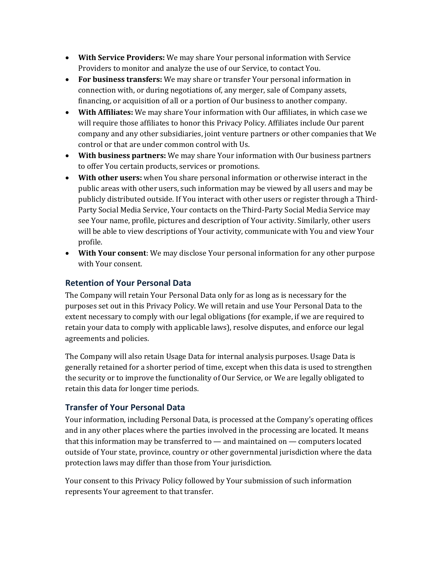- **With Service Providers:** We may share Your personal information with Service Providers to monitor and analyze the use of our Service, to contact You.
- **For business transfers:** We may share or transfer Your personal information in connection with, or during negotiations of, any merger, sale of Company assets, financing, or acquisition of all or a portion of Our business to another company.
- **With Affiliates:** We may share Your information with Our affiliates, in which case we will require those affiliates to honor this Privacy Policy. Affiliates include Our parent company and any other subsidiaries, joint venture partners or other companies that We control or that are under common control with Us.
- **With business partners:** We may share Your information with Our business partners to offer You certain products, services or promotions.
- **With other users:** when You share personal information or otherwise interact in the public areas with other users, such information may be viewed by all users and may be publicly distributed outside. If You interact with other users or register through a Third-Party Social Media Service, Your contacts on the Third-Party Social Media Service may see Your name, profile, pictures and description of Your activity. Similarly, other users will be able to view descriptions of Your activity, communicate with You and view Your profile.
- **With Your consent**: We may disclose Your personal information for any other purpose with Your consent.

## **Retention of Your Personal Data**

The Company will retain Your Personal Data only for as long as is necessary for the purposes set out in this Privacy Policy. We will retain and use Your Personal Data to the extent necessary to comply with our legal obligations (for example, if we are required to retain your data to comply with applicable laws), resolve disputes, and enforce our legal agreements and policies.

The Company will also retain Usage Data for internal analysis purposes. Usage Data is generally retained for a shorter period of time, except when this data is used to strengthen the security or to improve the functionality of Our Service, or We are legally obligated to retain this data for longer time periods.

## **Transfer of Your Personal Data**

Your information, including Personal Data, is processed at the Company's operating offices and in any other places where the parties involved in the processing are located. It means that this information may be transferred to — and maintained on — computers located outside of Your state, province, country or other governmental jurisdiction where the data protection laws may differ than those from Your jurisdiction.

Your consent to this Privacy Policy followed by Your submission of such information represents Your agreement to that transfer.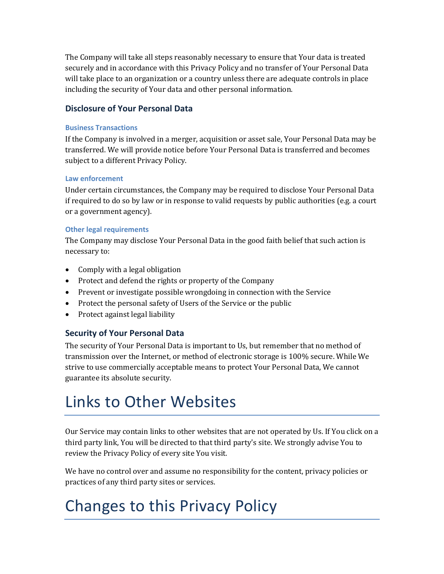The Company will take all steps reasonably necessary to ensure that Your data is treated securely and in accordance with this Privacy Policy and no transfer of Your Personal Data will take place to an organization or a country unless there are adequate controls in place including the security of Your data and other personal information.

### **Disclosure of Your Personal Data**

#### **Business Transactions**

If the Company is involved in a merger, acquisition or asset sale, Your Personal Data may be transferred. We will provide notice before Your Personal Data is transferred and becomes subject to a different Privacy Policy.

#### **Law enforcement**

Under certain circumstances, the Company may be required to disclose Your Personal Data if required to do so by law or in response to valid requests by public authorities (e.g. a court or a government agency).

#### **Other legal requirements**

The Company may disclose Your Personal Data in the good faith belief that such action is necessary to:

- Comply with a legal obligation
- Protect and defend the rights or property of the Company
- Prevent or investigate possible wrongdoing in connection with the Service
- Protect the personal safety of Users of the Service or the public
- Protect against legal liability

### **Security of Your Personal Data**

The security of Your Personal Data is important to Us, but remember that no method of transmission over the Internet, or method of electronic storage is 100% secure. While We strive to use commercially acceptable means to protect Your Personal Data, We cannot guarantee its absolute security.

## Links to Other Websites

Our Service may contain links to other websites that are not operated by Us. If You click on a third party link, You will be directed to that third party's site. We strongly advise You to review the Privacy Policy of every site You visit.

We have no control over and assume no responsibility for the content, privacy policies or practices of any third party sites or services.

## Changes to this Privacy Policy